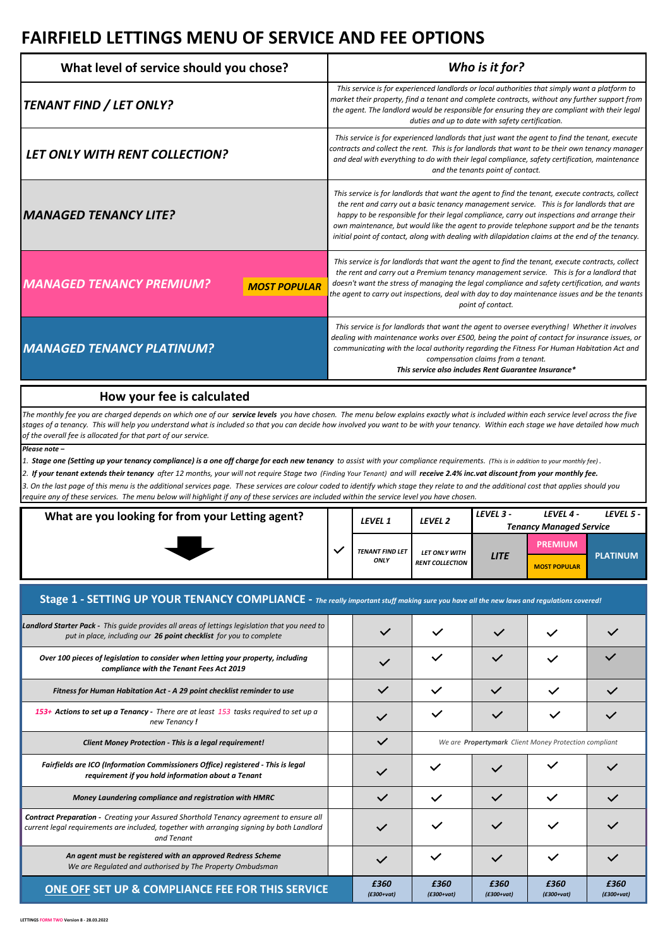| What level of service should you chose?                | Who is it for?                                                                                                                                                                                                                                                                                                                                                                                                                                                                                |
|--------------------------------------------------------|-----------------------------------------------------------------------------------------------------------------------------------------------------------------------------------------------------------------------------------------------------------------------------------------------------------------------------------------------------------------------------------------------------------------------------------------------------------------------------------------------|
| TENANT FIND / LET ONLY?                                | This service is for experienced landlords or local authorities that simply want a platform to<br>market their property, find a tenant and complete contracts, without any further support from<br>the agent. The landlord would be responsible for ensuring they are compliant with their legal<br>duties and up to date with safety certification.                                                                                                                                           |
| LET ONLY WITH RENT COLLECTION?                         | This service is for experienced landlords that just want the agent to find the tenant, execute<br>contracts and collect the rent. This is for landlords that want to be their own tenancy manager<br>and deal with everything to do with their legal compliance, safety certification, maintenance<br>and the tenants point of contact.                                                                                                                                                       |
| <b>MANAGED TENANCY LITE?</b>                           | This service is for landlords that want the agent to find the tenant, execute contracts, collect<br>the rent and carry out a basic tenancy management service. This is for landlords that are<br>happy to be responsible for their legal compliance, carry out inspections and arrange their<br>own maintenance, but would like the agent to provide telephone support and be the tenants<br>initial point of contact, along with dealing with dilapidation claims at the end of the tenancy. |
| <b>MANAGED TENANCY PREMIUM?</b><br><b>MOST POPULAR</b> | This service is for landlords that want the agent to find the tenant, execute contracts, collect<br>the rent and carry out a Premium tenancy management service. This is for a landlord that<br>doesn't want the stress of managing the legal compliance and safety certification, and wants<br>the agent to carry out inspections, deal with day to day maintenance issues and be the tenants<br>point of contact.                                                                           |
| <b>MANAGED TENANCY PLATINUM?</b>                       | This service is for landlords that want the agent to oversee everything! Whether it involves<br>dealing with maintenance works over £500, being the point of contact for insurance issues, or<br>communicating with the local authority regarding the Fitness For Human Habitation Act and<br>compensation claims from a tenant.<br>This service also includes Rent Guarantee Insurance*                                                                                                      |

#### **How your fee is calculated**

The monthly fee you are charged depends on which one of our **service levels** you have chosen. The menu below explains exactly what is included within each service level across the five *stages of a tenancy. This will help you understand what is included so that you can decide how involved you want to be with your tenancy. Within each stage we have detailed how much of the overall fee is allocated for that part of our service.* 

*Please note –*

*1. Stage one (Setting up your tenancy compliance) is a one off charge for each new tenancy to assist with your compliance requirements. (This is in addition to your monthly fee) .*

*2. If your tenant extends their tenancy after 12 months, your will not require Stage two (Finding Your Tenant) and will receive 2.4% inc.vat discount from your monthly fee. 3. On the last page of this menu is the additional services page. These services are colour coded to identify which stage they relate to and the additional cost that applies should you require any of these services. The menu below will highlight if any of these services are included within the service level you have chosen.*

| What are you looking for from your Letting agent? |  | LEVEL 1 | LEVEL <sub>2</sub>     | LEVEL 3 -              | LEVEL 4 -           | LEVEL 5 -                      |  |
|---------------------------------------------------|--|---------|------------------------|------------------------|---------------------|--------------------------------|--|
|                                                   |  |         |                        |                        |                     | <b>Tenancy Managed Service</b> |  |
|                                                   |  |         |                        | <b>TENANT FIND LET</b> | LET ONLY WITH       | <b>PREMIUM</b>                 |  |
|                                                   |  | ONLY    | <b>RENT COLLECTION</b> | <b>LITE</b>            | <b>MOST POPULAR</b> | <b>PLATINUM</b>                |  |

#### **Stage 1 - SETTING UP YOUR TENANCY COMPLIANCE -** *The really important stuff making sure you have all the new laws and regulations covered!*

| <b>Landlord Starter Pack -</b> This quide provides all areas of lettings legislation that you need to<br>put in place, including our 26 point checklist for you to complete                              |                      |                                                              |                      |                      |                      |
|----------------------------------------------------------------------------------------------------------------------------------------------------------------------------------------------------------|----------------------|--------------------------------------------------------------|----------------------|----------------------|----------------------|
| Over 100 pieces of legislation to consider when letting your property, including<br>compliance with the Tenant Fees Act 2019                                                                             |                      |                                                              | $\checkmark$         |                      |                      |
| Fitness for Human Habitation Act - A 29 point checklist reminder to use                                                                                                                                  | $\checkmark$         |                                                              | $\checkmark$         |                      |                      |
| 153+ Actions to set up a Tenancy - There are at least 153 tasks required to set up a<br>new Tenancy!                                                                                                     |                      |                                                              |                      |                      |                      |
| <b>Client Money Protection - This is a legal requirement!</b>                                                                                                                                            | $\checkmark$         | We are <b>Propertymark</b> Client Money Protection compliant |                      |                      |                      |
| Fairfields are ICO (Information Commissioners Office) registered - This is legal<br>requirement if you hold information about a Tenant                                                                   |                      |                                                              |                      |                      |                      |
| Money Laundering compliance and registration with HMRC                                                                                                                                                   | $\checkmark$         |                                                              |                      |                      |                      |
| <b>Contract Preparation -</b> Creating your Assured Shorthold Tenancy agreement to ensure all<br>current legal requirements are included, together with arranging signing by both Landlord<br>and Tenant |                      |                                                              |                      |                      |                      |
| An agent must be registered with an approved Redress Scheme<br>We are Regulated and authorised by The Property Ombudsman                                                                                 |                      |                                                              |                      |                      |                      |
| ONE OFF SET UP & COMPLIANCE FEE FOR THIS SERVICE                                                                                                                                                         | £360<br>$(E300+vat)$ | £360<br>$(E300+vat)$                                         | £360<br>$(E300+vat)$ | £360<br>$(E300+vat)$ | £360<br>$(E300+vat)$ |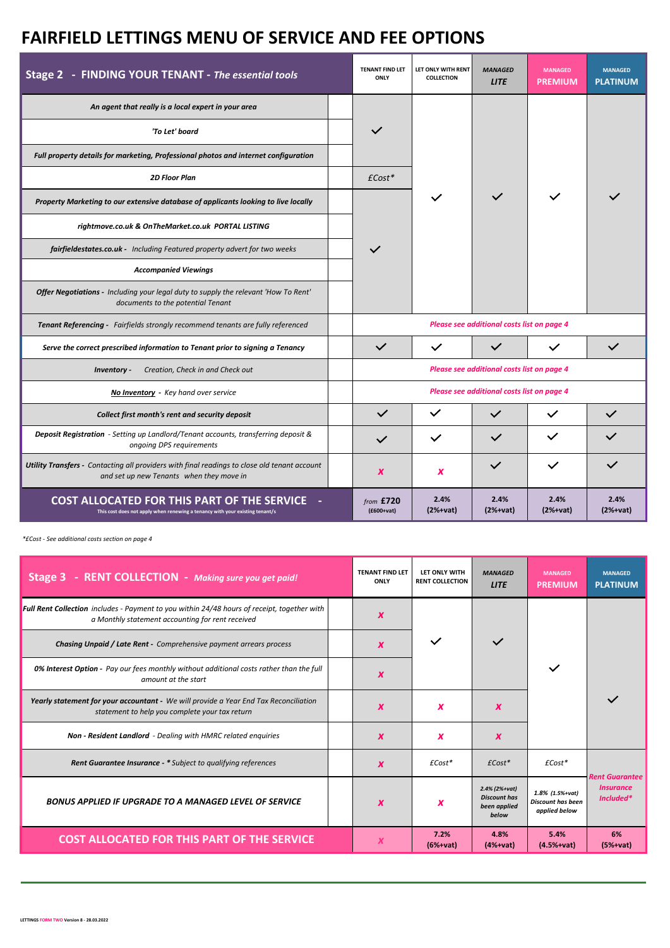| Stage 2 - FINDING YOUR TENANT - The essential tools                                                                                      |  | <b>TENANT FIND LET</b><br>ONLY | LET ONLY WITH RENT<br><b>COLLECTION</b> | <b>MANAGED</b><br><b>LITE</b>              | <b>MANAGED</b><br><b>PREMIUM</b> | <b>MANAGED</b><br><b>PLATINUM</b> |  |
|------------------------------------------------------------------------------------------------------------------------------------------|--|--------------------------------|-----------------------------------------|--------------------------------------------|----------------------------------|-----------------------------------|--|
| An agent that really is a local expert in your area                                                                                      |  |                                |                                         |                                            |                                  |                                   |  |
| 'To Let' board                                                                                                                           |  | $\checkmark$                   |                                         |                                            |                                  |                                   |  |
| Full property details for marketing, Professional photos and internet configuration                                                      |  |                                |                                         |                                            |                                  |                                   |  |
| <b>2D Floor Plan</b>                                                                                                                     |  | $\text{\textsterling}$ Cost*   |                                         |                                            |                                  |                                   |  |
| Property Marketing to our extensive database of applicants looking to live locally                                                       |  |                                |                                         |                                            |                                  |                                   |  |
| rightmove.co.uk & OnTheMarket.co.uk PORTAL LISTING                                                                                       |  |                                |                                         |                                            |                                  |                                   |  |
| fairfieldestates.co.uk - Including Featured property advert for two weeks                                                                |  |                                |                                         |                                            |                                  |                                   |  |
| <b>Accompanied Viewings</b>                                                                                                              |  |                                |                                         |                                            |                                  |                                   |  |
| Offer Negotiations - Including your legal duty to supply the relevant 'How To Rent'<br>documents to the potential Tenant                 |  |                                |                                         |                                            |                                  |                                   |  |
| Tenant Referencing - Fairfields strongly recommend tenants are fully referenced                                                          |  |                                |                                         | Please see additional costs list on page 4 |                                  |                                   |  |
| Serve the correct prescribed information to Tenant prior to signing a Tenancy                                                            |  | $\checkmark$                   | $\checkmark$                            | $\checkmark$                               | $\checkmark$                     | $\checkmark$                      |  |
| Creation, Check in and Check out<br>Inventory -                                                                                          |  |                                |                                         | Please see additional costs list on page 4 |                                  |                                   |  |
| No Inventory - Key hand over service                                                                                                     |  |                                |                                         | Please see additional costs list on page 4 |                                  |                                   |  |
| Collect first month's rent and security deposit                                                                                          |  | $\checkmark$                   | $\checkmark$                            | $\checkmark$                               | $\checkmark$                     |                                   |  |
| Deposit Registration - Setting up Landlord/Tenant accounts, transferring deposit &<br>ongoing DPS requirements                           |  | $\checkmark$                   |                                         |                                            |                                  |                                   |  |
| Utility Transfers - Contacting all providers with final readings to close old tenant account<br>and set up new Tenants when they move in |  | $\boldsymbol{x}$               | $\boldsymbol{x}$                        | $\checkmark$                               | $\checkmark$                     |                                   |  |
| <b>COST ALLOCATED FOR THIS PART OF THE SERVICE</b><br>This cost does not apply when renewing a tenancy with your existing tenant/s       |  | from £720<br>$(E600+vat)$      | 2.4%<br>$(2%+vat)$                      | 2.4%<br>$(2%+vat)$                         | 2.4%<br>$(2%+vat)$               | 2.4%<br>$(2%+vat)$                |  |

*\*£Cost - See additional costs section on page 4*

| Stage 3 - RENT COLLECTION - Making sure you get paid!                                                                                           | <b>TENANT FIND LET</b><br>ONLY | LET ONLY WITH<br><b>RENT COLLECTION</b> | <b>MANAGED</b><br><b>LITE</b>                                 | <b>MANAGED</b><br><b>PREMIUM</b>                             | <b>MANAGED</b><br><b>PLATINUM</b>    |
|-------------------------------------------------------------------------------------------------------------------------------------------------|--------------------------------|-----------------------------------------|---------------------------------------------------------------|--------------------------------------------------------------|--------------------------------------|
| Full Rent Collection includes - Payment to you within 24/48 hours of receipt, together with<br>a Monthly statement accounting for rent received | X                              |                                         |                                                               |                                                              |                                      |
| <b>Chasing Unpaid / Late Rent -</b> Comprehensive payment arrears process                                                                       | $\boldsymbol{x}$               |                                         | $\checkmark$                                                  |                                                              |                                      |
| <b>0% Interest Option</b> - Pay our fees monthly without additional costs rather than the full<br>amount at the start                           | X                              |                                         |                                                               |                                                              |                                      |
| Yearly statement for your accountant - We will provide a Year End Tax Reconciliation<br>statement to help you complete your tax return          | X                              | x                                       | X                                                             |                                                              | $\checkmark$                         |
| Non - Resident Landlord - Dealing with HMRC related enquiries                                                                                   | X                              | x                                       | X                                                             |                                                              |                                      |
| <b>Rent Guarantee Insurance - *</b> Subject to qualifying references                                                                            | X                              | $\pounds$ Cost*                         | $\text{\textsterling}Cost*$                                   | $\pounds$ Cost*                                              | <b>Rent Guarantee</b>                |
| <b>BONUS APPLIED IF UPGRADE TO A MANAGED LEVEL OF SERVICE</b>                                                                                   | $\boldsymbol{x}$               | x                                       | 2.4% (2%+vat)<br><b>Discount has</b><br>been applied<br>below | 1.8% (1.5%+vat)<br><b>Discount has been</b><br>applied below | <i><b>Insurance</b></i><br>Included* |
| <b>COST ALLOCATED FOR THIS PART OF THE SERVICE</b>                                                                                              | x                              | 7.2%<br>$(6%+vat)$                      | 4.8%<br>$(4%+vat)$                                            | 5.4%<br>$(4.5%+vat)$                                         | 6%<br>$(5%+vat)$                     |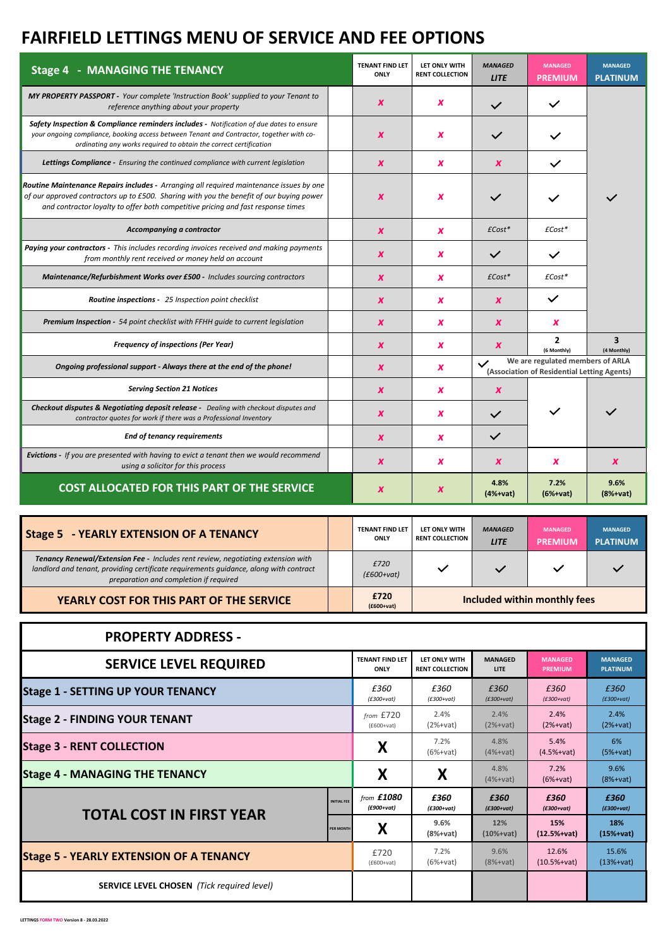| <b>Stage 4 - MANAGING THE TENANCY</b>                                                                                                                                                                                                                                   | <b>TENANT FIND LET</b><br>ONLY | LET ONLY WITH<br><b>RENT COLLECTION</b> | <b>MANAGED</b><br><b>LITE</b> | <b>MANAGED</b><br><b>PREMIUM</b>                                                | <b>MANAGED</b><br><b>PLATINUM</b> |
|-------------------------------------------------------------------------------------------------------------------------------------------------------------------------------------------------------------------------------------------------------------------------|--------------------------------|-----------------------------------------|-------------------------------|---------------------------------------------------------------------------------|-----------------------------------|
| MY PROPERTY PASSPORT - Your complete 'Instruction Book' supplied to your Tenant to<br>reference anything about your property                                                                                                                                            | $\boldsymbol{x}$               | x                                       | $\checkmark$                  | $\checkmark$                                                                    |                                   |
| Safety Inspection & Compliance reminders includes - Notification of due dates to ensure<br>your ongoing compliance, booking access between Tenant and Contractor, together with co-<br>ordinating any works required to obtain the correct certification                | X                              | x                                       |                               |                                                                                 |                                   |
| <b>Lettings Compliance -</b> Ensuring the continued compliance with current legislation                                                                                                                                                                                 | $\boldsymbol{x}$               | x                                       | $\boldsymbol{x}$              | $\checkmark$                                                                    |                                   |
| Routine Maintenance Repairs includes - Arranging all required maintenance issues by one<br>of our approved contractors up to £500. Sharing with you the benefit of our buying power<br>and contractor loyalty to offer both competitive pricing and fast response times | X                              | x                                       |                               |                                                                                 |                                   |
| Accompanying a contractor                                                                                                                                                                                                                                               | $\boldsymbol{x}$               | x                                       | $\pounds$ Cost*               | $\pounds$ Cost*                                                                 |                                   |
| Paying your contractors - This includes recording invoices received and making payments<br>from monthly rent received or money held on account                                                                                                                          | $\boldsymbol{x}$               | x                                       | $\checkmark$                  | $\checkmark$                                                                    |                                   |
| Maintenance/Refurbishment Works over £500 - Includes sourcing contractors                                                                                                                                                                                               | $\boldsymbol{x}$               | x                                       | $\pounds$ Cost*               | $\pounds$ Cost*                                                                 |                                   |
| Routine inspections - 25 Inspection point checklist                                                                                                                                                                                                                     | $\boldsymbol{x}$               | x                                       | $\boldsymbol{x}$              | $\checkmark$                                                                    |                                   |
| <b>Premium Inspection - 54 point checklist with FFHH quide to current legislation</b>                                                                                                                                                                                   | X                              | x                                       | $\boldsymbol{x}$              | X                                                                               |                                   |
| <b>Frequency of inspections (Per Year)</b>                                                                                                                                                                                                                              | $\boldsymbol{x}$               | x                                       | $\boldsymbol{x}$              | $\mathbf{z}$<br>(6 Monthly)                                                     | 3<br>(4 Monthly)                  |
| Ongoing professional support - Always there at the end of the phone!                                                                                                                                                                                                    | $\boldsymbol{x}$               | x                                       | $\checkmark$                  | We are regulated members of ARLA<br>(Association of Residential Letting Agents) |                                   |
| <b>Serving Section 21 Notices</b>                                                                                                                                                                                                                                       | X                              | x                                       | X                             |                                                                                 |                                   |
| <b>Checkout disputes &amp; Negotiating deposit release -</b> Dealing with checkout disputes and<br>contractor quotes for work if there was a Professional Inventory                                                                                                     | $\boldsymbol{x}$               | x                                       | $\checkmark$                  |                                                                                 |                                   |
| <b>End of tenancy requirements</b>                                                                                                                                                                                                                                      | $\boldsymbol{x}$               | x                                       | $\checkmark$                  |                                                                                 |                                   |
| Evictions - If you are presented with having to evict a tenant then we would recommend<br>using a solicitor for this process                                                                                                                                            | X                              | x                                       | X                             | X                                                                               | X                                 |
| <b>COST ALLOCATED FOR THIS PART OF THE SERVICE</b>                                                                                                                                                                                                                      | X                              | x                                       | 4.8%<br>$(4%+vat)$            | 7.2%<br>$(6%+vat)$                                                              | 9.6%<br>$(8%+vat)$                |

| <b>Stage 5 - YEARLY EXTENSION OF A TENANCY</b>                                                                                                                                                                      | <b>TENANT FIND LET</b><br><b>ONLY</b> | LET ONLY WITH<br><b>RENT COLLECTION</b> | <b>MANAGED</b><br><b>LITE</b> | <b>MANAGED</b><br><b>PREMIUM</b> | <b>MANAGED</b><br><b>PLATINUM</b> |
|---------------------------------------------------------------------------------------------------------------------------------------------------------------------------------------------------------------------|---------------------------------------|-----------------------------------------|-------------------------------|----------------------------------|-----------------------------------|
| Tenancy Renewal/Extension Fee - Includes rent review, negotiating extension with<br>landlord and tenant, providing certificate requirements quidance, along with contract<br>preparation and completion if required | £720<br>$(E600+vat)$                  | $\checkmark$                            |                               |                                  |                                   |
| YEARLY COST FOR THIS PART OF THE SERVICE                                                                                                                                                                            | £720<br>$(f600+vat)$                  | Included within monthly fees            |                               |                                  |                                   |

| <b>PROPERTY ADDRESS -</b>                         |                        |                        |                    |                      |                    |
|---------------------------------------------------|------------------------|------------------------|--------------------|----------------------|--------------------|
| <b>SERVICE LEVEL REQUIRED</b>                     | <b>TENANT FIND LET</b> | LET ONLY WITH          | <b>MANAGED</b>     | <b>MANAGED</b>       | <b>MANAGED</b>     |
|                                                   | ONLY                   | <b>RENT COLLECTION</b> | <b>LITE</b>        | <b>PREMIUM</b>       | <b>PLATINUM</b>    |
| <b>Stage 1 - SETTING UP YOUR TENANCY</b>          | £360                   | £360                   | £360               | £360                 | £360               |
|                                                   | $(E300+vat)$           | $(E300+{\rm v}at)$     | $(E300+vat)$       | $(E300+vat)$         | $(E300+vat)$       |
| <b>Stage 2 - FINDING YOUR TENANT</b>              | from £720              | 2.4%                   | 2.4%               | 2.4%                 | 2.4%               |
|                                                   | $(E600+vat)$           | $(2%+vat)$             | $(2%+vat)$         | $(2%+vat)$           | $(2%+vat)$         |
| <b>Stage 3 - RENT COLLECTION</b>                  | X                      | 7.2%<br>$(6%+vat)$     | 4.8%<br>$(4%+vat)$ | 5.4%<br>$(4.5%+vat)$ | 6%<br>$(5%+vat)$   |
| <b>Stage 4 - MANAGING THE TENANCY</b>             | Χ                      | X                      | 4.8%<br>$(4%+vat)$ | 7.2%<br>$(6%+vat)$   | 9.6%<br>$(8%+vat)$ |
| <b>INITIAL FEE</b>                                | from £1080             | £360                   | £360               | £360                 | £360               |
|                                                   | $(E900+vat)$           | $(E300+vat)$           | $(E300+vat)$       | $(E300+vat)$         | $(E300+vat)$       |
| <b>TOTAL COST IN FIRST YEAR</b>                   | X                      | 9.6%                   | 12%                | 15%                  | 18%                |
|                                                   | <b>PER MONTH</b>       | $(8%+vat)$             | $(10% + vat)$      | $(12.5%+vat)$        | $(15% + vat)$      |
| <b>Stage 5 - YEARLY EXTENSION OF A TENANCY</b>    | £720                   | 7.2%                   | 9.6%               | 12.6%                | 15.6%              |
|                                                   | $(E600+vat)$           | $(6%+vat)$             | $(8%+vat)$         | $(10.5%+vat)$        | $(13%+vat)$        |
| <b>SERVICE LEVEL CHOSEN</b> (Tick required level) |                        |                        |                    |                      |                    |